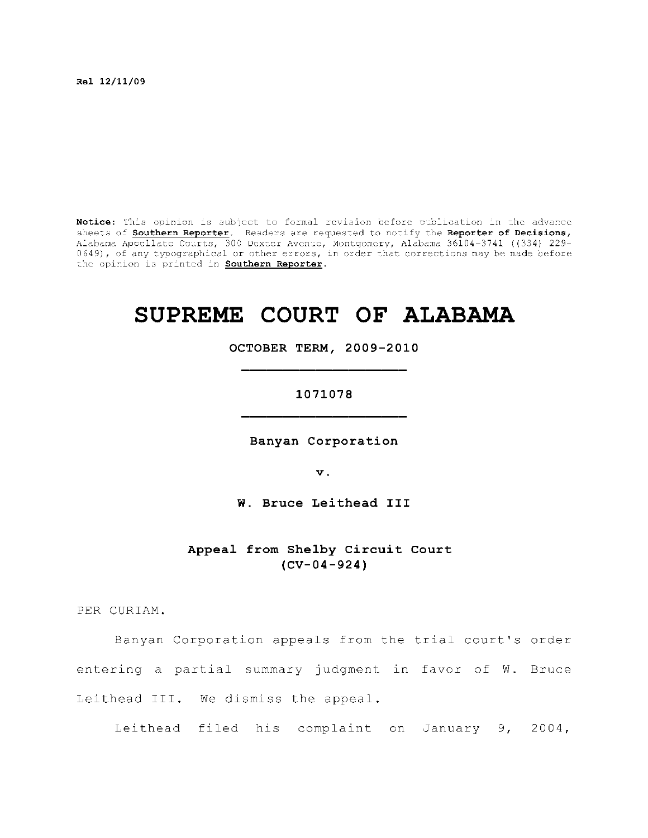**R el 12/11/09** 

Notice: This opinion is subject to formal revision before publication in the advance sheets of **Southern Reporter.** Readers are requested to notify the Reporter of Decisions, Alabama Appellate Courts, 300 Dexter Avenue, Montgomery, Alabama 36104-3741 ((334) 229-0649), of any typographical or other errors, in order that corrections may be made before  $\,$ the opinion is printed in **Southern Reporter**.

# **SUPREME COURT OF ALABAMA**

**OCTOBER TERM, 2009-2010** 

#### **1071078**

**Banyan Corporation** 

**v.** 

**W. Bruce Leithead III** 

Appeal from Shelby Circuit Court **(CV-04-924)** 

PER CURIAM.

Banyan Corporation appeals from the trial court's order entering a partial summary judgment in favor of W. Bruce Leithead III. We dismiss the appeal.

Leithead filed his complaint on January 9, 2004,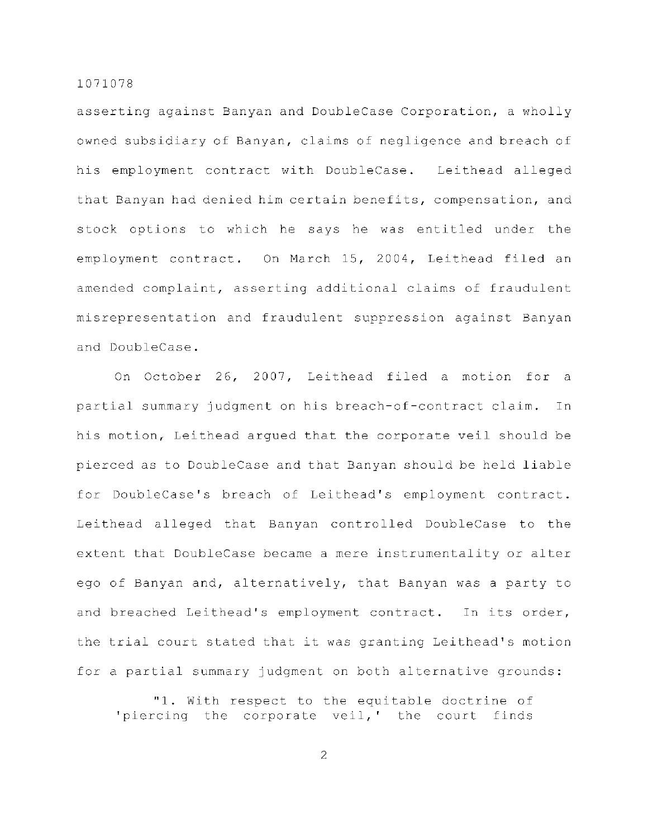asserting against Banyan and DoubleCase Corporation, a wholly owned subsidiary of Banyan, claims of negligence and breach of his employment contract with DoubleCase. Leithead alleged that Banyan had denied him certain benefits, compensation, and stock options to which he says he was entitled under the employment contract. On March 15, 2004, Leithead filed an amended complaint, asserting additional claims of fraudulent misrepresentation and fraudulent suppression against Banyan and DoubleCase.

On October 26, 2007, Leithead filed a motion for a partial summary judgment on his breach-of-contract claim. In his motion, Leithead argued that the corporate veil should be pierced as to DoubleCase and that Banyan should be held liable for DoubleCase's breach of Leithead's employment contract. Leithead alleged that Banyan controlled DoubleCase to the extent that DoubleCase became a mere instrumentality or alter ego of Banyan and, alternatively, that Banyan was a party to and breached Leithead's employment contract. In its order, the trial court stated that it was granting Leithead's motion for a partial summary judgment on both alternative grounds:

"1. With respect to the equitable doctrine of 'piercing the corporate veil,' the court finds

2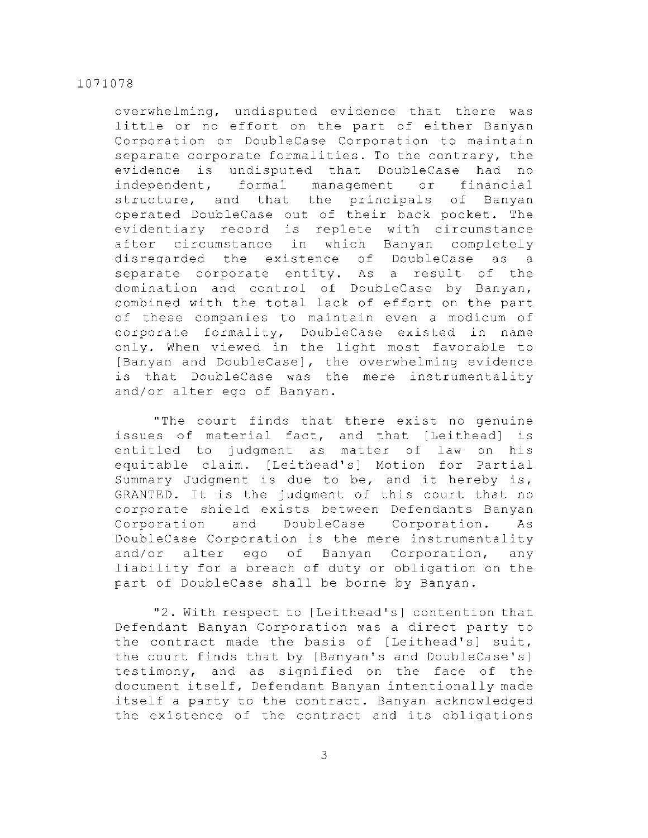overwhelming, undisputed evidence that there was little or no effort on the part of either Banyan Corporation or DoubleCase Corporation to maintain separate corporate formalities. To the contrary, the evidence is undisputed that DoubleCase had no independent, formal management or financial structure, and that the principals of Banyan operated DoubleCase out of their back pocket. The evidentiary record is replete with circumstance after circumstance in which Banyan completely disregarded the existence of DoubleCase as a separate corporate entity. As a result of the domination and control of DoubleCase by Banyan, combined with the total lack of effort on the part of these companies to maintain even a modicum of corporate formality, DoubleCase existed in name only. When viewed in the light most favorable to [Banyan and DoubleCase], the overwhelming evidence is that DoubleCase was the mere instrumentality and/or alter ego of Banyan.

"The court finds that there exist no genuine issues of material fact, and that [Leithead] is entitled to judgment as matter of law on his equitable claim. [Leithead's] Motion for Partial Summary Judgment is due to be, and it hereby is, GRANTED. It is the judgment of this court that no corporate shield exists between Defendants Banyan Corporation and DoubleCase Corporation. As DoubleCase Corporation is the mere instrumentality and/or alter ego of Banyan Corporation, any liability for a breach of duty or obligation on the part of DoubleCase shall be borne by Banyan.

"2. With respect to [Leithead's] contention that Defendant Banyan Corporation was a direct party to the contract made the basis of [Leithead's] suit, the court finds that by [Banyan's and DoubleCase's] testimony, and as signified on the face of the document itself, Defendant Banyan intentionally made itself a party to the contract. Banyan acknowledged the existence of the contract and its obligations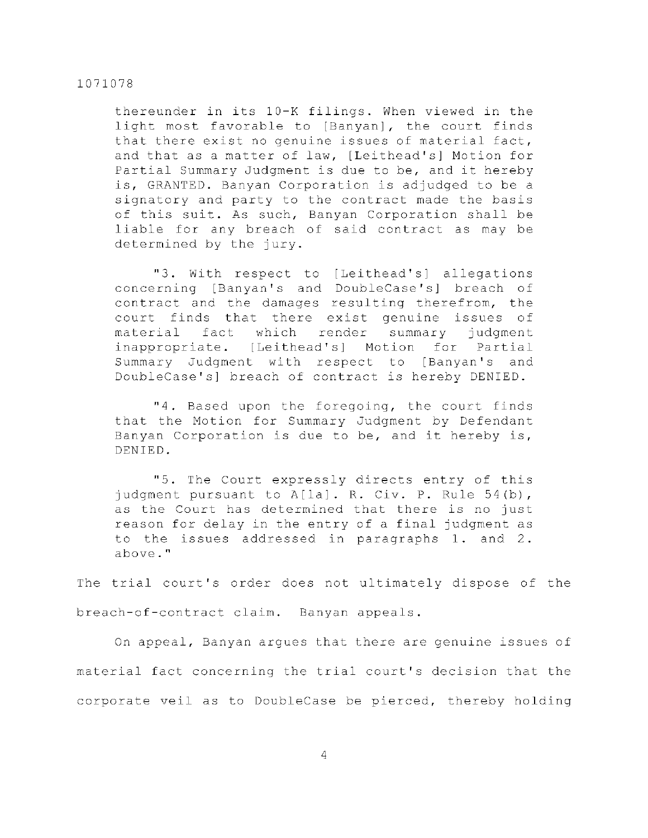thereunder in its 10-K filings. When viewed in the light most favorable to [Banyan], the court finds that there exist no genuine issues of material fact, and that as a matter of law, [Leithead's] Motion for Partial Summary Judgment is due to be, and it hereby is, GRANTED. Banyan Corporation is adjudged to be a signatory and party to the contract made the basis of this suit. As such, Banyan Corporation shall be liable for any breach of said contract as may be determined by the jury.

"3. With respect to [Leithead's] allegations concerning [Banyan's and DoubleCase's] breach of contract and the damages resulting therefrom, the court finds that there exist genuine issues of material fact which render summary judgment inappropriate. [Leithead's] Motion for Partial Summary Judgment with respect to [Banyan's and DoubleCase's] breach of contract is hereby DENIED.

"4. Based upon the foregoing, the court finds that the Motion for Summary Judgment by Defendant Banyan Corporation is due to be, and it hereby is, DENIED.

"5. The Court expressly directs entry of this judgment pursuant to A[la]. R. Civ. P. Rule  $54(b)$ , as the Court has determined that there is no just reason for delay in the entry of a final judgment as to the issues addressed in paragraphs  $1.$  and  $2.$ above. "

The trial court's order does not ultimately dispose of the breach-of-contract claim. Banyan appeals.

On appeal, Banyan arques that there are genuine issues of material fact concerning the trial court's decision that the corporate veil as to DoubleCase be pierced, thereby holding

4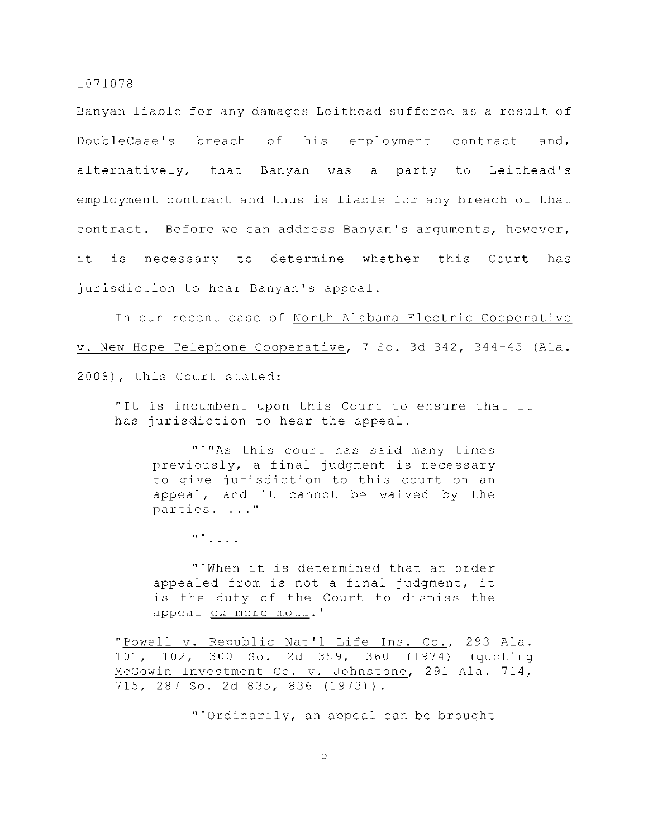Banyan liable for any damages Leithead suffered as a result of DoubleCase's breach of his employment contract and, alternatively, that Banyan was a party to Leithead's employment contract and thus is liable for any breach of that contract. Before we can address Banyan's arguments, however, it is necessary to determine whether this Court has jurisdiction to hear Banyan's appeal.

In our recent case of North Alabama Electric Cooperative v. New Hope Telephone Cooperative, 7 So. 3d 342, 344-45 (Ala. 2008), this Court stated:

"It is incumbent upon this Court to ensure that it has jurisdiction to hear the appeal.

"'"As this court has said many times previously, a final judgment is necessary to give jurisdiction to this court on an appeal, and it cannot be waived by the parties. ..."

 $\mathbb{R}^+$  . . . .

"'When it is determined that an order appealed from is not a final judgment, it is the duty of the Court to dismiss the appeal ex mero motu.'

" Powell v. Republic Nat'l Life Ins. Co., 293 Ala. 101, 102, 300 So. 2d 359, 360 (1974) (quoting McGowin Investment Co. v. Johnstone, 291 Ala. 714, 715, 287 So. 2d 835, 836 (1973)) .

"'Ordinarily, an appeal can be brought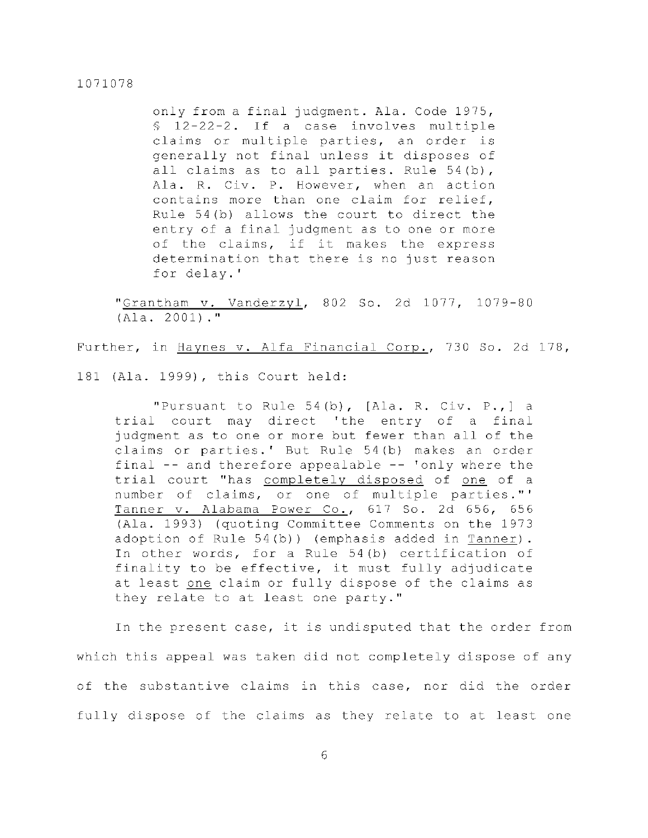only from a final judgment. Ala. Code 1975,  $$12-22-2.$  If a case involves multiple claims or multiple parties, an order is generally not final unless it disposes of all claims as to all parties. Rule  $54(b)$ , Ala. R. Civ. P. However, when an action contains more than one claim for relief, Rule  $54(b)$  allows the court to direct the entry of a final judgment as to one or more of the claims, if it makes the express determination that there is no just reason for delay.'

"Grantham v. Vanderzyl, 802 So. 2d 1077, 1079-80  $(A1a. 2001).$ 

Further, in Haynes v. Alfa Financial Corp., 730 So. 2d 178,

181 (Ala. 1999), this Court held:

"Pursuant to Rule  $54(b)$ , [Ala. R. Civ. P.,] a trial court may direct 'the entry of a final judgment as to one or more but fewer than all of the claims or parties.' But Rule 54(b) makes an order final  $-$ - and therefore appealable  $-$ - 'only where the trial court "has completely disposed of one of a number of claims, or one of multiple parties."' Tanner v. Alabama Power Co., 617 So. 2d 656, 656 (Ala. 1993) (quoting Committee Comments on the 1973 adoption of Rule  $54(b)$ ) (emphasis added in Tanner). In other words, for a Rule  $54(b)$  certification of finality to be effective, it must fully adjudicate at least one claim or fully dispose of the claims as they relate to at least one party."

In the present case, it is undisputed that the order from which this appeal was taken did not completely dispose of any of the substantive claims in this case, nor did the order fully dispose of the claims as they relate to at least one